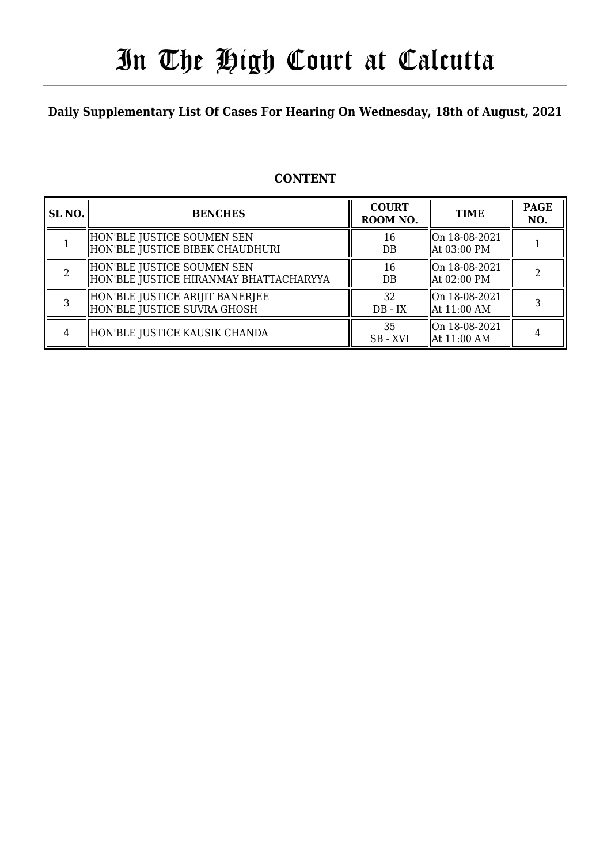# In The High Court at Calcutta

### **Daily Supplementary List Of Cases For Hearing On Wednesday, 18th of August, 2021**

### **CONTENT**

| <b>SL NO.</b> | <b>BENCHES</b>                                                         | <b>COURT</b><br>ROOM NO. | <b>TIME</b>                                         | <b>PAGE</b><br>NO. |
|---------------|------------------------------------------------------------------------|--------------------------|-----------------------------------------------------|--------------------|
|               | HON'BLE JUSTICE SOUMEN SEN<br>  HON'BLE JUSTICE BIBEK CHAUDHURI        | 16<br>$DB$               | $\ $ On 18-08-2021<br>  At 03:00 PM                 |                    |
|               | HON'BLE JUSTICE SOUMEN SEN<br>  HON'BLE JUSTICE HIRANMAY BHATTACHARYYA | 16<br>$DB$               | On 18-08-2021<br>At 02:00 PM                        |                    |
|               | HON'BLE JUSTICE ARIJIT BANERJEE<br>  HON'BLE JUSTICE SUVRA GHOSH       | 32<br>$DB - IX$          | $\ $ On 18-08-2021<br>$\text{At } 11:00 \text{ AM}$ |                    |
|               | HON'BLE JUSTICE KAUSIK CHANDA                                          | 35<br>SB - XVI           | $\parallel$ On 18-08-2021<br>  At 11:00 AM          |                    |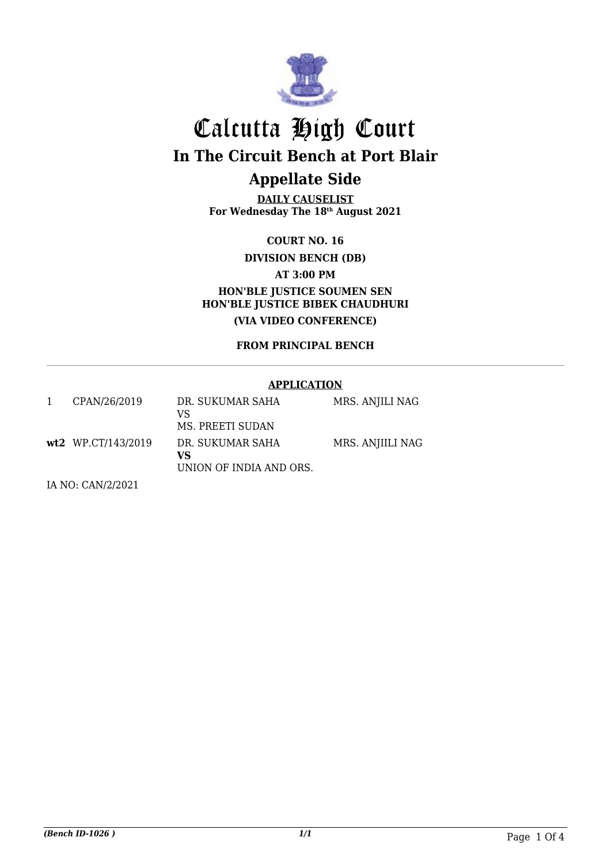

**DAILY CAUSELIST For Wednesday The 18th August 2021**

**COURT NO. 16**

**DIVISION BENCH (DB)**

**AT 3:00 PM**

**HON'BLE JUSTICE SOUMEN SEN HON'BLE JUSTICE BIBEK CHAUDHURI (VIA VIDEO CONFERENCE)**

**FROM PRINCIPAL BENCH**

#### **APPLICATION**

| CPAN/26/2019       | DR. SUKUMAR SAHA<br>VS<br>MS. PREETI SUDAN        | MRS. ANJILI NAG  |
|--------------------|---------------------------------------------------|------------------|
| wt2 WP.CT/143/2019 | DR. SUKUMAR SAHA<br>VS<br>UNION OF INDIA AND ORS. | MRS. ANJIILI NAG |

IA NO: CAN/2/2021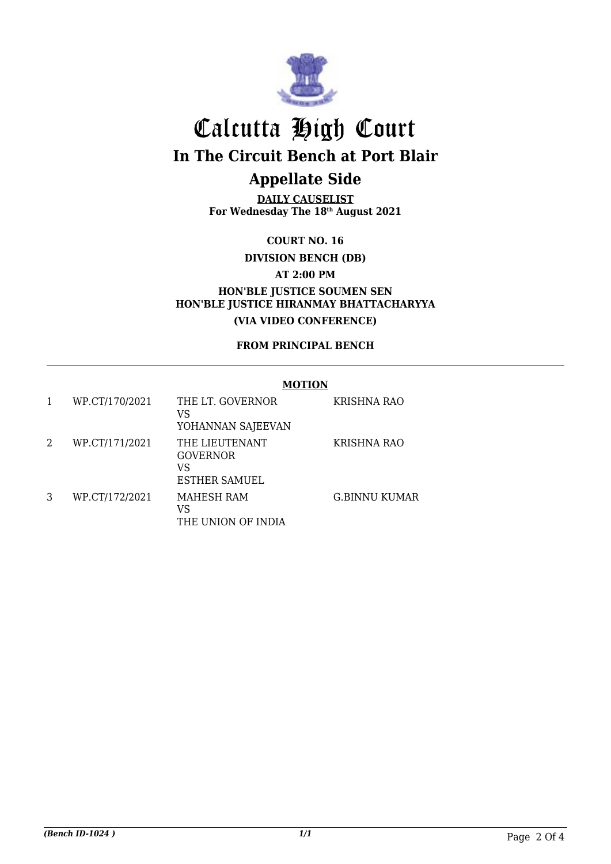

**DAILY CAUSELIST For Wednesday The 18th August 2021**

**COURT NO. 16**

**DIVISION BENCH (DB)**

**AT 2:00 PM**

**HON'BLE JUSTICE SOUMEN SEN HON'BLE JUSTICE HIRANMAY BHATTACHARYYA (VIA VIDEO CONFERENCE)**

**FROM PRINCIPAL BENCH**

#### **MOTION**

| 1 | WP.CT/170/2021 | THE LT. GOVERNOR<br>VS<br>YOHANNAN SAJEEVAN                     | KRISHNA RAO          |
|---|----------------|-----------------------------------------------------------------|----------------------|
| 2 | WP.CT/171/2021 | THE LIEUTENANT<br><b>GOVERNOR</b><br>VS<br><b>ESTHER SAMUEL</b> | KRISHNA RAO          |
| 3 | WP.CT/172/2021 | <b>MAHESH RAM</b><br>VS<br>THE UNION OF INDIA                   | <b>G.BINNU KUMAR</b> |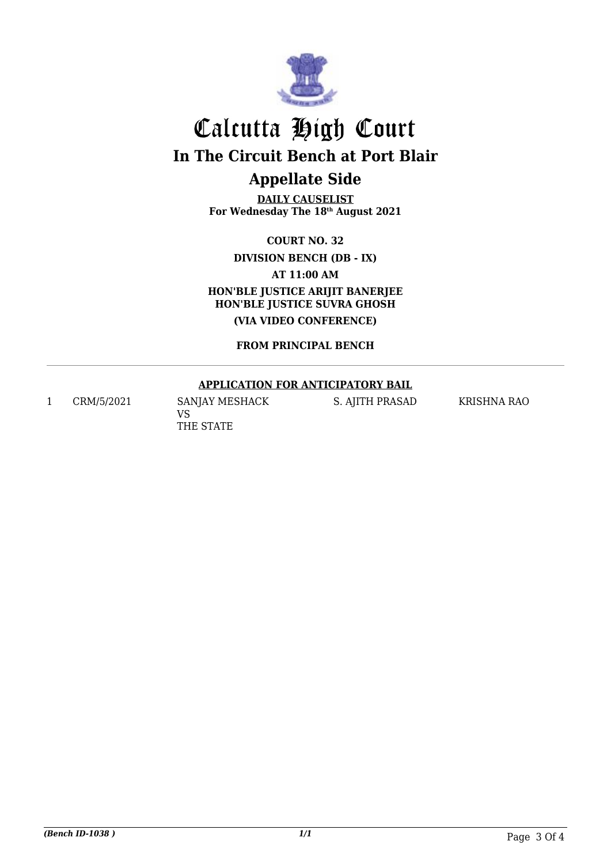

**DAILY CAUSELIST For Wednesday The 18th August 2021**

**COURT NO. 32**

**DIVISION BENCH (DB - IX)**

**AT 11:00 AM**

**HON'BLE JUSTICE ARIJIT BANERJEE HON'BLE JUSTICE SUVRA GHOSH (VIA VIDEO CONFERENCE)**

**FROM PRINCIPAL BENCH**

#### **APPLICATION FOR ANTICIPATORY BAIL**

1 CRM/5/2021 SANJAY MESHACK

VS THE STATE S. AJITH PRASAD KRISHNA RAO